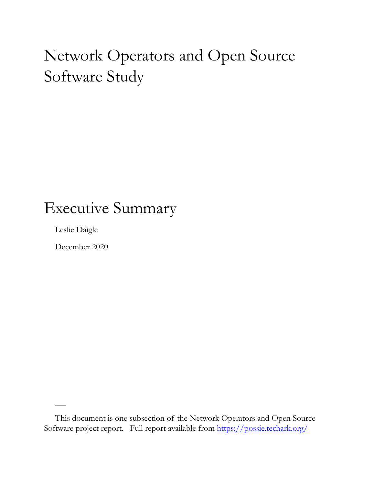## Network Operators and Open Source Software Study

### Executive Summary

Leslie Daigle

December 2020

This document is one subsection of the Network Operators and Open Source Software project report. Full report available from<https://possie.techark.org/>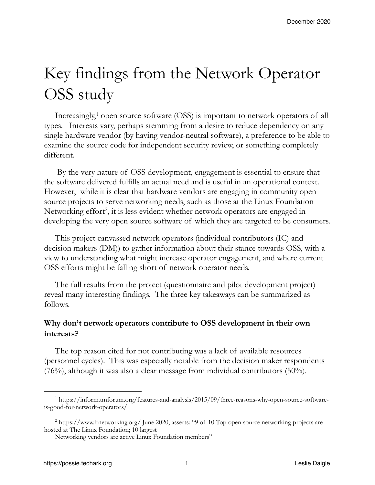# Key findings from the Network Operator OSS study

Increasingly, $1$  open source software (OSS) is important to network operators of all types. Interests vary, perhaps stemming from a desire to reduce dependency on any single hardware vendor (by having vendor-neutral software), a preference to be able to examine the source code for independent security review, or something completely different.

 By the very nature of OSS development, engagement is essential to ensure that the software delivered fulfills an actual need and is useful in an operational context. However, while it is clear that hardware vendors are engaging in community open source projects to serve networking needs, such as those at the Linux Foundation Networking effort<sup>2</sup>, it is less evident whether network operators are engaged in developing the very open source software of which they are targeted to be consumers.

This project canvassed network operators (individual contributors (IC) and decision makers (DM)) to gather information about their stance towards OSS, with a view to understanding what might increase operator engagement, and where current OSS efforts might be falling short of network operator needs.

The full results from the project (questionnaire and pilot development project) reveal many interesting findings. The three key takeaways can be summarized as follows.

#### **Why don't network operators contribute to OSS development in their own interests?**

The top reason cited for not contributing was a lack of available resources (personnel cycles). This was especially notable from the decision maker respondents (76%), although it was also a clear message from individual contributors (50%).

<sup>&</sup>lt;sup>1</sup> https://inform.tmforum.org/features-and-analysis/2015/09/three-reasons-why-open-source-softwareis-good-for-network-operators/

<sup>&</sup>lt;sup>2</sup> https://www.lfnetworking.org/ June 2020, asserts: "9 of 10 Top open source networking projects are hosted at The Linux Foundation; 10 largest

Networking vendors are active Linux Foundation members"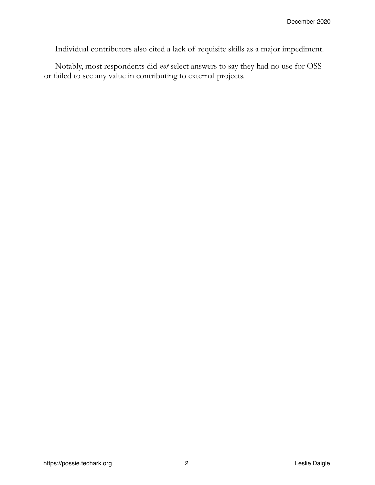Individual contributors also cited a lack of requisite skills as a major impediment.

Notably, most respondents did *not* select answers to say they had no use for OSS or failed to see any value in contributing to external projects.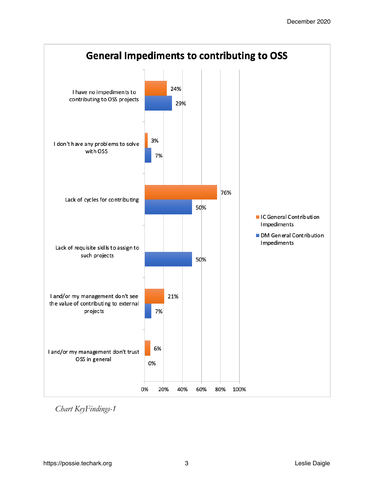

*Chart KeyFindings-1*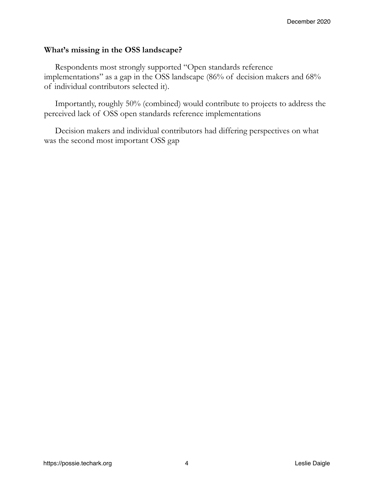#### **What's missing in the OSS landscape?**

Respondents most strongly supported "Open standards reference implementations" as a gap in the OSS landscape (86% of decision makers and 68% of individual contributors selected it).

Importantly, roughly 50% (combined) would contribute to projects to address the perceived lack of OSS open standards reference implementations

Decision makers and individual contributors had differing perspectives on what was the second most important OSS gap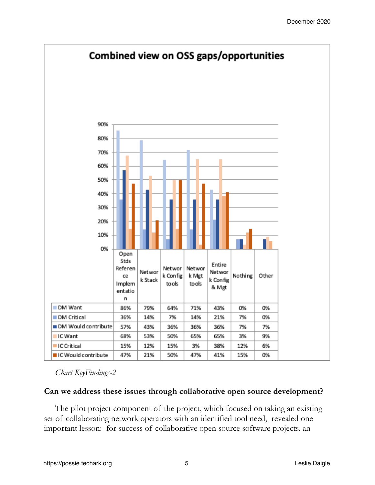

*Chart KeyFindings-2*

#### **Can we address these issues through collaborative open source development?**

The pilot project component of the project, which focused on taking an existing set of collaborating network operators with an identified tool need, revealed one important lesson: for success of collaborative open source software projects, an